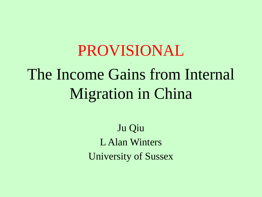### PROVISIONAL . The Income Gains from Internal Migration in China

Ju Qiu L Alan Winters University of Sussex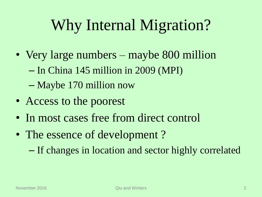# Why Internal Migration?

- Very large numbers maybe 800 million – In China 145 million in 2009 (MPI) – Maybe 170 million now
- Access to the poorest
- In most cases free from direct control
- The essence of development? – If changes in location and sector highly correlated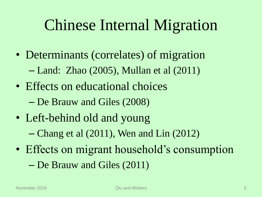# Chinese Internal Migration

- Determinants (correlates) of migration – Land: Zhao (2005), Mullan et al (2011)
- Effects on educational choices – De Brauw and Giles (2008)
- Left-behind old and young
	- Chang et al (2011), Wen and Lin (2012)
- Effects on migrant household's consumption – De Brauw and Giles (2011)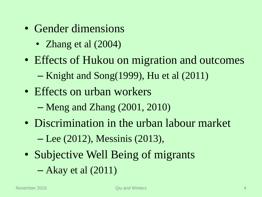- Gender dimensions
	- Zhang et al  $(2004)$
- Effects of Hukou on migration and outcomes
	- Knight and Song(1999), Hu et al (2011)
- Effects on urban workers
	- Meng and Zhang (2001, 2010)
- Discrimination in the urban labour market – Lee (2012), Messinis (2013),
- Subjective Well Being of migrants
	- Akay et al (2011)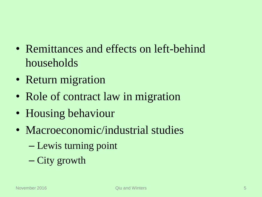- Remittances and effects on left-behind households
- Return migration
- Role of contract law in migration
- Housing behaviour
- Macroeconomic/industrial studies
	- Lewis turning point
	- City growth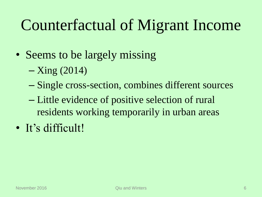# Counterfactual of Migrant Income

- Seems to be largely missing
	- Xing (2014)
	- Single cross-section, combines different sources
	- Little evidence of positive selection of rural residents working temporarily in urban areas
- It's difficult!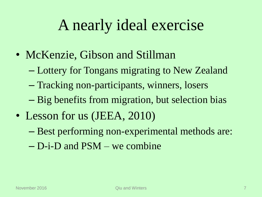## A nearly ideal exercise

- McKenzie, Gibson and Stillman
	- Lottery for Tongans migrating to New Zealand
	- Tracking non-participants, winners, losers
	- Big benefits from migration, but selection bias
- Lesson for us (JEEA, 2010)
	- Best performing non-experimental methods are:
	- D-i-D and PSM we combine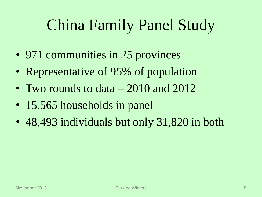# China Family Panel Study

- 971 communities in 25 provinces
- Representative of 95% of population
- Two rounds to data 2010 and 2012
- 15,565 households in panel
- 48,493 individuals but only 31,820 in both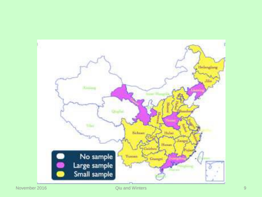

November 2016 **Qiu and Winters 6 Access 19th Access 19th Access 19th Access 19th Access 19th Access 19th Access 19th Access 19th Access 19th Access 19th Access 19th Access 19th Access 19th Access 19th Access 19th Access 19**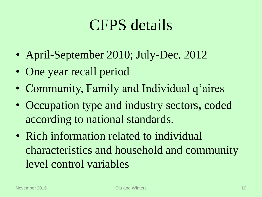## CFPS details

- April-September 2010; July-Dec. 2012
- One year recall period
- Community, Family and Individual q'aires
- Occupation type and industry sectors**,** coded according to national standards.
- Rich information related to individual characteristics and household and community level control variables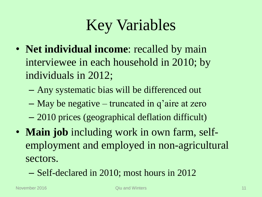# Key Variables

- **Net individual income**: recalled by main interviewee in each household in 2010; by individuals in 2012;
	- Any systematic bias will be differenced out
	- May be negative truncated in q'aire at zero
	- 2010 prices (geographical deflation difficult)
- **Main job** including work in own farm, selfemployment and employed in non-agricultural sectors.
	- Self-declared in 2010; most hours in 2012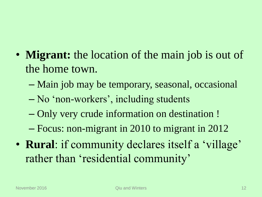### • **Migrant:** the location of the main job is out of the home town.

- Main job may be temporary, seasonal, occasional
- No 'non-workers', including students
- Only very crude information on destination !
- Focus: non-migrant in 2010 to migrant in 2012
- **Rural**: if community declares itself a 'village' rather than 'residential community'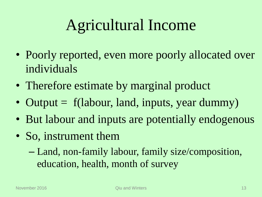# Agricultural Income

- Poorly reported, even more poorly allocated over individuals
- Therefore estimate by marginal product
- Output = f(labour, land, inputs, year dummy)
- But labour and inputs are potentially endogenous
- So, instrument them
	- Land, non-family labour, family size/composition, education, health, month of survey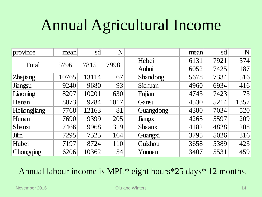# Annual Agricultural Income

| province            | mean  | sd    | N    |                 | mean | sd   | N    |
|---------------------|-------|-------|------|-----------------|------|------|------|
| Total               |       | 7815  | 7998 | Hebei           | 6131 | 7921 | 574  |
|                     | 5796  |       |      | Anhui           | 6052 | 7425 | 187  |
| Zhejiang            | 10765 | 13114 | 67   | <b>Shandong</b> | 5678 | 7334 | 516  |
| Jiangsu             | 9240  | 9680  | 93   | Sichuan         | 4960 | 6934 | 416  |
| Liaoning            | 8207  | 10201 | 630  | Fujian          | 4743 | 7423 | 73   |
| Henan               | 8073  | 9284  | 1017 | Gansu           | 4530 | 5214 | 1357 |
| <b>Heilongjiang</b> | 7768  | 12163 | 81   | Guangdong       | 4380 | 7034 | 520  |
| Hunan               | 7690  | 9399  | 205  | Jiangxi         | 4265 | 5597 | 209  |
| <b>Shanxi</b>       | 7466  | 9968  | 319  | Shaanxi         | 4182 | 4828 | 208  |
| Jilin               | 7295  | 7525  | 164  | Guangxi         | 3795 | 5026 | 316  |
| Hubei               | 7197  | 8724  | 110  | Guizhou         | 3658 | 5389 | 423  |
| Chongqing           | 6206  | 10362 | 54   | Yunnan          | 3407 | 5531 | 459  |

#### Annual labour income is MPL\* eight hours\*25 days\* 12 months.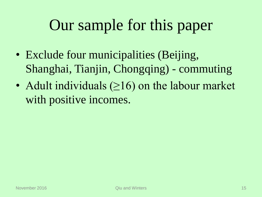# Our sample for this paper

- Exclude four municipalities (Beijing, Shanghai, Tianjin, Chongqing) - commuting
- Adult individuals (≥16) on the labour market with positive incomes.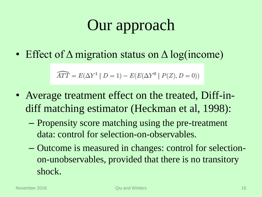# Our approach

• Effect of  $\Delta$  migration status on  $\Delta$  log(income)

$$
\widehat{ATT} = E(\Delta Y^1 | D = 1) - E(E(\Delta Y^0 | P(Z), D = 0))
$$

- Average treatment effect on the treated, Diff-indiff matching estimator (Heckman et al, 1998):
	- Propensity score matching using the pre-treatment data: control for selection-on-observables.
	- Outcome is measured in changes: control for selectionon-unobservables, provided that there is no transitory shock.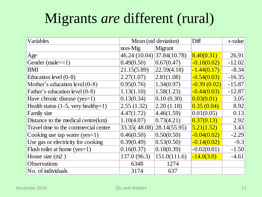## Migrants *are* different (rural)

| Variables                                    | Mean (std deviation)       |              | Diff          | t-value  |
|----------------------------------------------|----------------------------|--------------|---------------|----------|
|                                              | $non-Mig$                  | Migrant      |               |          |
| Age                                          | 46.24 (10.04) 37.84(10.78) |              | 8.40(0.31)    | 26.91    |
| Gender (male= $=1$ )                         | 0.49(0.50)                 | 0.67(0.47)   | $-0.18(0.02)$ | $-12.02$ |
| <b>BMI</b>                                   | 21.15(5.89)                | 22.59(4.18)  | $-1.44(0.17)$ | $-8.34$  |
| Education level $(0-8)$                      | 2.27(1.07)                 | 2.81(1.08)   | $-0.54(0.03)$ | $-16.35$ |
| Mother's education level $(0-8)$             | 0.95(0.76)                 | 1.34(0.97)   | $-0.39(0.02)$ | $-15.87$ |
| Father's education level (0-8)               | 1.13(1.10)                 | 1.58(1.23)   | $-0.44(0.03)$ | $-12.87$ |
| Have chronic disease $(yes=1)$               | 0.13(0.34)                 | 0.10(0.30)   | 0.03(0.01)    | 3.05     |
| Health status $(1-5, \text{very healthy=1})$ | 2.55(1.32)                 | 2.20(1.18)   | 0.35(0.04)    | 8.92     |
| Family size                                  | 4.47(1.72)                 | 4.46(1.59)   | 0.01(0.05)    | 0.13     |
| Distance to the medical centre $(km)$        | 1.10(4.07)                 | 0.73(4.21)   | 0.37(0.13)    | 2.92     |
| Travel time to the commercial centre         | 33.35(48.08) 28.14(55.95)  |              | 5.21(1.52)    | 3.43     |
| Cooking use tap water $(yes=1)$              | 0.46(0.50)                 | 0.50(0.50)   | $-0.04(0.02)$ | $-2.29$  |
| Use gas or electricity for cooking           | 0.39(0.49)                 | 0.53(0.50)   | $-0.14(0.02)$ | $-9.3$   |
| Flush toilet at home $(yes=1)$               | 0.16(0.37)                 | 0.18(0.39)   | $-0.02(0.01)$ | $-1.50$  |
| House size $(m2)$                            | 137.0 (96.3)               | 151.0(111.6) | $-14.0(3.0)$  | $-4.61$  |
| <b>Observations</b>                          | 6348                       | 1274         |               |          |
| No. of individuals                           | 3174                       | 637          |               |          |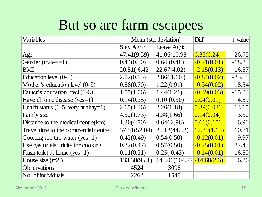## But so are farm escapees

| Variables                                    | Mean (std deviation) |               | Diff          | t-value  |
|----------------------------------------------|----------------------|---------------|---------------|----------|
|                                              | <b>Stay Agric</b>    | Leave Agric   |               |          |
| Age                                          | 47.41(9.59)          | 41.06(10.98)  | 6.35(0.24)    | 26.75    |
| Gender $(male==1)$                           | 0.44(0.50)           | 0.64(0.48)    | $-0.21(0.01)$ | $-18.25$ |
| <b>BMI</b>                                   | 20.51(6.42)          | 22.67(4.02)   | $-2.15(0.13)$ | $-16.57$ |
| Education level $(0-8)$                      | 2.02(0.95)           | 2.86(1.10)    | $-0.84(0.02)$ | $-35.58$ |
| Mother's education level $(0-8)$             | 0.88(0.70)           | 1.22(0.91)    | $-0.34(0.02)$ | $-18.54$ |
| Father's education level (0-8)               | 1.05(1.06)           | 1.44(1.21)    | $-0.39(0.03)$ | $-15.03$ |
| Have chronic disease (yes=1)                 | 0.14(0.35)           | 0.10(0.30)    | 0.04(0.01)    | 4.89     |
| Health status $(1-5, \text{very healthy=1})$ | 2.65(1.36)           | 2.26(1.18)    | 0.39(0.03)    | 13.15    |
| <b>Family size</b>                           | 4.52(1.73)           | 4.38(1.66)    | 0.14(0.04)    | 3.50     |
| Distance to the medical centre $(km)$        | 1.30(4.70)           | 0.64(2.96)    | 0.66(0.10)    | 6.90     |
| Travel time to the commercial centre         | 37.51(52.04)         | 25.12(44.58)  | 12.39(1.15)   | 10.81    |
| Cooking use tap water (yes=1)                | 0.42(0.49)           | 0.54(0.50)    | $-0.12(0.01)$ | $-9.97$  |
| Use gas or electricity for cooking           | 0.32(0.47)           | 0.57(0.50)    | $-0.25(0.01)$ | 22.43    |
| Flush toilet at home $(yes=1)$               | 0.11(0.31)           | 0.25(0.43)    | $-0.14(0.01)$ | 16.59    |
| House size $(m2)$                            | 133.38(95.1)         | 148.06(104.2) | $-14.68(2.3)$ | 6.36     |
| <b>Observations</b>                          | 4524                 | 3098          |               |          |
| No. of individuals                           | 2262                 | 1549          |               |          |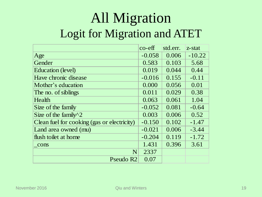## All Migration Logit for Migration and ATET

|                                             | $co$ - $eff$ | std.err. | z-stat   |
|---------------------------------------------|--------------|----------|----------|
| Age                                         | $-0.058$     | 0.006    | $-10.22$ |
| Gender                                      | 0.583        | 0.103    | 5.68     |
| Education (level)                           | 0.019        | 0.044    | 0.44     |
| Have chronic disease                        | $-0.016$     | 0.155    | $-0.11$  |
| Mother's education                          | 0.000        | 0.056    | 0.01     |
| The no. of siblings                         | 0.011        | 0.029    | 0.38     |
| Health                                      | 0.063        | 0.061    | 1.04     |
| Size of the family                          | $-0.052$     | 0.081    | $-0.64$  |
| Size of the family $\sqrt{2}$               | 0.003        | 0.006    | 0.52     |
| Clean fuel for cooking (gas or electricity) | $-0.150$     | 0.102    | $-1.47$  |
| Land area owned (mu)                        | $-0.021$     | 0.006    | $-3.44$  |
| flush toilet at home                        | $-0.204$     | 0.119    | $-1.72$  |
| cons                                        | 1.431        | 0.396    | 3.61     |
| N                                           | 2337         |          |          |
| Pseudo R <sub>2</sub>                       | 0.07         |          |          |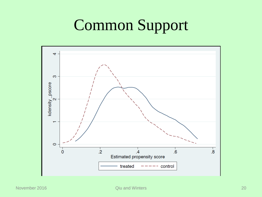# Common Support

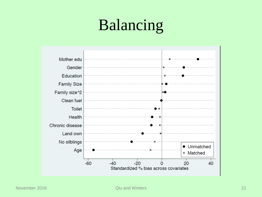# Balancing

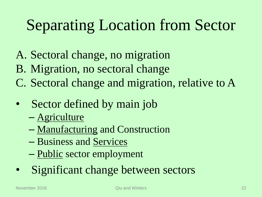# Separating Location from Sector

- A. Sectoral change, no migration
- B. Migration, no sectoral change
- C. Sectoral change and migration, relative to A
- Sector defined by main job
	- Agriculture
	- Manufacturing and Construction
	- Business and Services
	- Public sector employment
- Significant change between sectors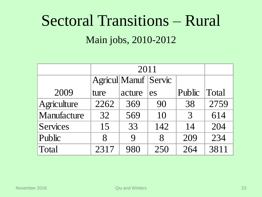# Sectoral Transitions – Rural Main jobs, 2010-2012

|                 |                    | <b>Agricul</b> Manuf Servic |       |        |       |
|-----------------|--------------------|-----------------------------|-------|--------|-------|
| 2009            | ture               | acture                      | es    | Public | Total |
| Agriculture     | 2262               | 369                         | 90    | 38     | 2759  |
| Manufacture     | 32                 | 569                         | 10    | 3      | 614   |
| <b>Services</b> | 15                 | 33                          | 142   | 14     | 204   |
| Public          | $\mathsf{R}% _{T}$ | $\mathbf Q$                 | $8\,$ | 209    | 234   |
| Total           | 2317               | 980                         | 250   | 264    | 3811  |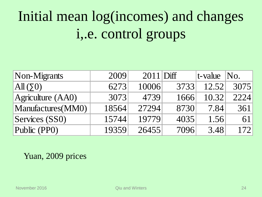# Initial mean log(incomes) and changes i,.e. control groups

| Non-Migrants       | 2009  | $2011$ Diff |      | $ t$ -value $ No.$ |      |
|--------------------|-------|-------------|------|--------------------|------|
| $\text{All}(50)$   | 6273  | 10006       | 3733 | 12.52              | 3075 |
| Agriculture (AA0)  | 3073  | 4739        | 1666 | 10.32              | 2224 |
| Manufactures (MM0) | 18564 | 27294       | 8730 | 7.84               | 361  |
| Services (SS0)     | 15744 | 19779       | 4035 | 1.56               | 61   |
| Public (PP0)       | 19359 | 26455       | 7096 | 3.48               | 172  |

Yuan, 2009 prices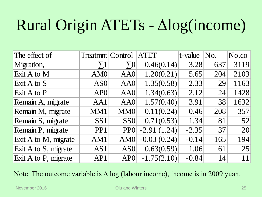# Rural Origin ATETs - Δlog(income)

| The effect of        | Treatmnt   Control |                 | <b>ATET</b>   | t-value | No. | No.co |
|----------------------|--------------------|-----------------|---------------|---------|-----|-------|
| Migration,           | $\Sigma1$          | $\Sigma 0$      | 0.46(0.14)    | 3.28    | 637 | 3119  |
| Exit A to M          | AM <sub>0</sub>    | AA0             | 1.20(0.21)    | 5.65    | 204 | 2103  |
| Exit A to S          | AS <sub>0</sub>    | AA0             | 1.35(0.58)    | 2.33    | 29  | 1163  |
| Exit A to P          | AP <sub>0</sub>    | AA0             | 1.34(0.63)    | 2.12    | 24  | 1428  |
| Remain A, migrate    | AA1                | AA0             | 1.57(0.40)    | 3.91    | 38  | 1632  |
| Remain M, migrate    | MM1                | MM <sub>0</sub> | 0.11(0.24)    | 0.46    | 208 | 357   |
| Remain S, migrate    | SS <sub>1</sub>    | SS <sub>0</sub> | 0.71(0.53)    | 1.34    | 81  | 52    |
| Remain P, migrate    | PP <sub>1</sub>    | <b>PPO</b>      | $-2.91(1.24)$ | $-2.35$ | 37  | 20    |
| Exit A to M, migrate | AM1                | AM0             | $-0.03(0.24)$ | $-0.14$ | 165 | 194   |
| Exit A to S, migrate | AS1                | AS <sub>0</sub> | 0.63(0.59)    | 1.06    | 61  | 25    |
| Exit A to P, migrate | AP1                | AP0             | $-1.75(2.10)$ | $-0.84$ | 14  | 11    |

Note: The outcome variable is  $\Delta \log$  (labour income), income is in 2009 yuan.